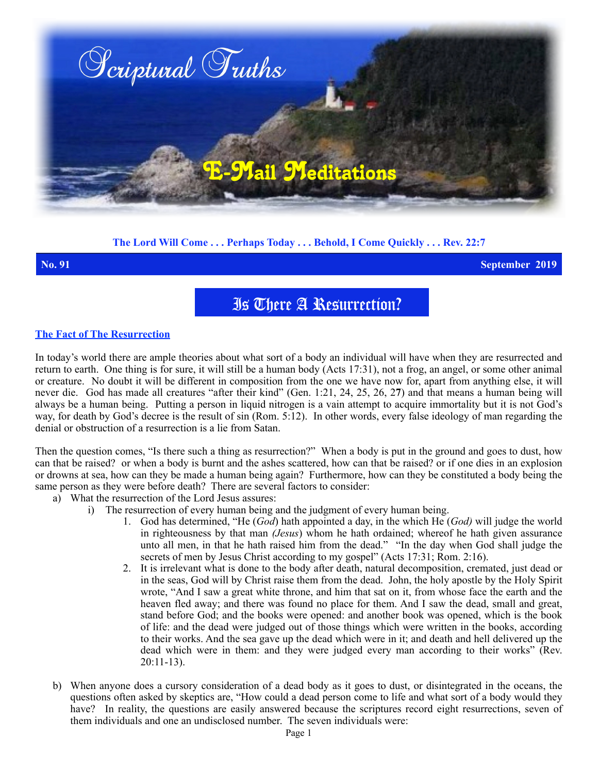

## **The Lord Will Come . . . Perhaps Today . . . Behold, I Come Quickly . . . Rev. 22:7**

**No. 91 September 2019**

Is There A Resurrection?

## **The Fact of The Resurrection**

In today's world there are ample theories about what sort of a body an individual will have when they are resurrected and return to earth. One thing is for sure, it will still be a human body (Acts 17:31), not a frog, an angel, or some other animal or creature. No doubt it will be different in composition from the one we have now for, apart from anything else, it will never die. God has made all creatures "after their kind" (Gen. 1:21, 24, 25, 26, 2**7**) and that means a human being will always be a human being. Putting a person in liquid nitrogen is a vain attempt to acquire immortality but it is not God's way, for death by God's decree is the result of sin (Rom. 5:12). In other words, every false ideology of man regarding the denial or obstruction of a resurrection is a lie from Satan.

Then the question comes, "Is there such a thing as resurrection?" When a body is put in the ground and goes to dust, how can that be raised? or when a body is burnt and the ashes scattered, how can that be raised? or if one dies in an explosion or drowns at sea, how can they be made a human being again? Furthermore, how can they be constituted a body being the same person as they were before death? There are several factors to consider:

- a) What the resurrection of the Lord Jesus assures:
	- i) The resurrection of every human being and the judgment of every human being.
		- 1. God has determined, "He (*God*) hath appointed a day, in the which He (*God)* will judge the world in righteousness by that man *(Jesus*) whom he hath ordained; whereof he hath given assurance unto all men, in that he hath raised him from the dead." "In the day when God shall judge the secrets of men by Jesus Christ according to my gospel" (Acts 17:31; Rom. 2:16).
		- 2. It is irrelevant what is done to the body after death, natural decomposition, cremated, just dead or in the seas, God will by Christ raise them from the dead. John, the holy apostle by the Holy Spirit wrote, "And I saw a great white throne, and him that sat on it, from whose face the earth and the heaven fled away; and there was found no place for them. And I saw the dead, small and great, stand before God; and the books were opened: and another book was opened, which is the book of life: and the dead were judged out of those things which were written in the books, according to their works. And the sea gave up the dead which were in it; and death and hell delivered up the dead which were in them: and they were judged every man according to their works" (Rev.  $20:11-13$ ).
- b) When anyone does a cursory consideration of a dead body as it goes to dust, or disintegrated in the oceans, the questions often asked by skeptics are, "How could a dead person come to life and what sort of a body would they have? In reality, the questions are easily answered because the scriptures record eight resurrections, seven of them individuals and one an undisclosed number. The seven individuals were: